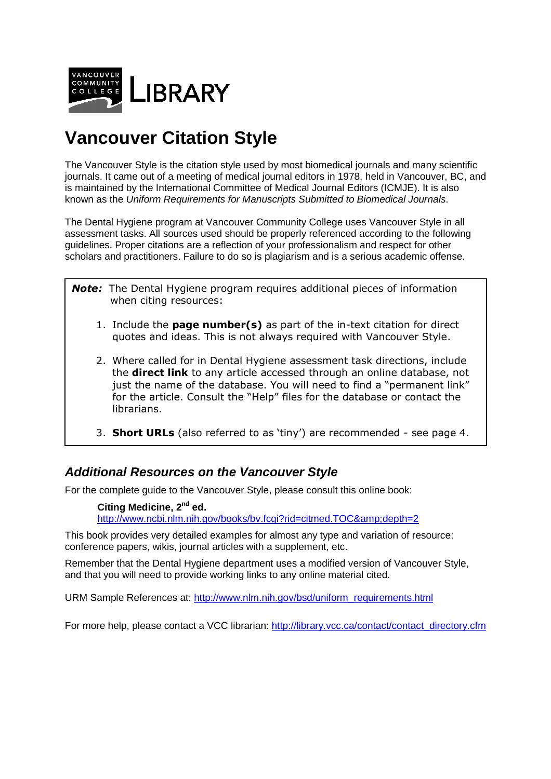

# **Vancouver Citation Style**

The Vancouver Style is the citation style used by most biomedical journals and many scientific journals. It came out of a meeting of medical journal editors in 1978, held in Vancouver, BC, and is maintained by the International Committee of Medical Journal Editors (ICMJE). It is also known as the Uniform Requirements for Manuscripts Submitted to Biomedical Journals.

The Dental Hygiene program at Vancouver Community College uses Vancouver Style in all assessment tasks. All sources used should be properly referenced according to the following guidelines. Proper citations are a reflection of your professionalism and respect for other scholars and practitioners. Failure to do so is plagiarism and is a serious academic offense.

- *Note:*The Dental Hygiene program requires additional pieces of information when citing resources:
	- 1. Include the **page number(s)** as part of the in-text citation for direct quotes and ideas. This is not always required with Vancouver Style.
	- 2. Where called for in Dental Hygiene assessment task directions, include the **direct link** to any article accessed through an online database, not just the name of the database. You will need to find a "permanent link" for the article. Consult the "Help" files for the database or contact the librarians.
	- 3. **Short URLs** (also referred to as 'tiny') are recommended see page 4.

# **Additional Resources on the Vancouver Style**

For the complete guide to the Vancouver Style, please consult this online book:

**Citing Medicine, 2nd ed.**  http://www.ncbi.nlm.nih.gov/books/bv.fcgi?rid=citmed.TOC&depth=2

This book provides very detailed examples for almost any type and variation of resource: conference papers, wikis, journal articles with a supplement, etc.

Remember that the Dental Hygiene department uses a modified version of Vancouver Style, and that you will need to provide working links to any online material cited.

URM Sample References at: http://www.nlm.nih.gov/bsd/uniform\_requirements.html

For more help, please contact a VCC librarian: http://library.vcc.ca/contact/contact\_directory.cfm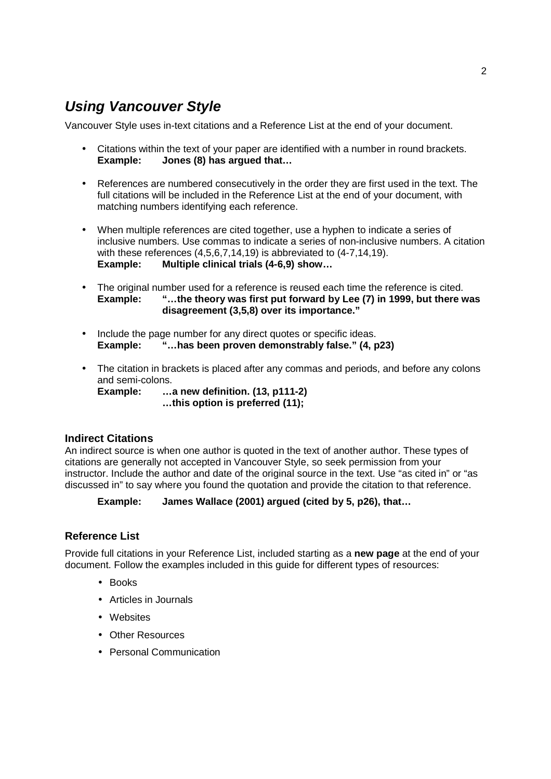# **Using Vancouver Style**

Vancouver Style uses in-text citations and a Reference List at the end of your document.

- Citations within the text of your paper are identified with a number in round brackets.<br>Example: Jones (8) has arqued that... **Example: Jones (8) has argued that…**
- References are numbered consecutively in the order they are first used in the text. The full citations will be included in the Reference List at the end of your document, with matching numbers identifying each reference.
- When multiple references are cited together, use a hyphen to indicate a series of inclusive numbers. Use commas to indicate a series of non-inclusive numbers. A citation with these references (4,5,6,7,14,19) is abbreviated to (4-7,14,19). **Example: Multiple clinical trials (4-6,9) show…**
- The original number used for a reference is reused each time the reference is cited.<br>Example: "...the theory was first put forward by Lee (7) in 1999, but there **v Example: "…the theory was first put forward by Lee (7) in 1999, but there was disagreement (3,5,8) over its importance."**
- Include the page number for any direct quotes or specific ideas. **Example: "…has been proven demonstrably false." (4, p23)**
- The citation in brackets is placed after any commas and periods, and before any colons and semi-colons.

**Example: …a new definition. (13, p111-2) …this option is preferred (11);** 

### **Indirect Citations**

An indirect source is when one author is quoted in the text of another author. These types of citations are generally not accepted in Vancouver Style, so seek permission from your instructor. Include the author and date of the original source in the text. Use "as cited in" or "as discussed in" to say where you found the quotation and provide the citation to that reference.

### **Example: James Wallace (2001) argued (cited by 5, p26), that…**

### **Reference List**

Provide full citations in your Reference List, included starting as a **new page** at the end of your document. Follow the examples included in this guide for different types of resources:

- Books
- Articles in Journals
- Websites
- Other Resources
- Personal Communication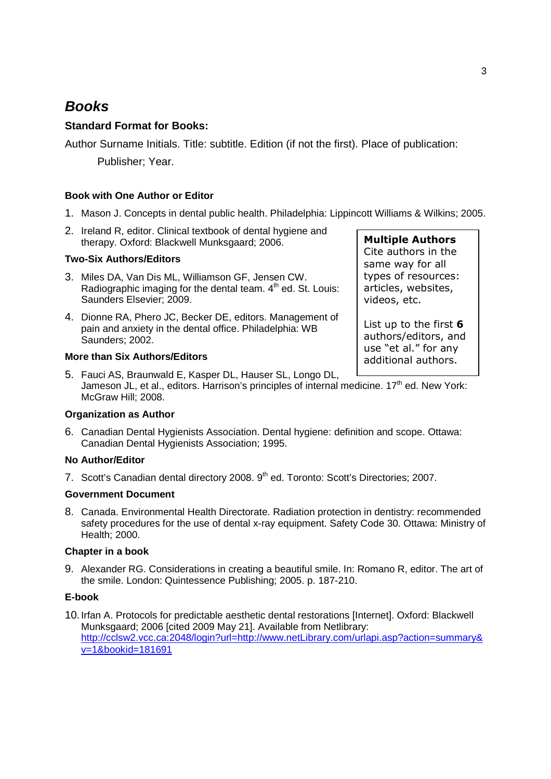# **Books**

## **Standard Format for Books:**

Author Surname Initials. Title: subtitle. Edition (if not the first). Place of publication: Publisher; Year.

### **Book with One Author or Editor**

- 1. Mason J. Concepts in dental public health. Philadelphia: Lippincott Williams & Wilkins; 2005.
- 2. Ireland R, editor. Clinical textbook of dental hygiene and therapy. Oxford: Blackwell Munksgaard; 2006.

### **Two-Six Authors/Editors**

- 3. Miles DA, Van Dis ML, Williamson GF, Jensen CW. Radiographic imaging for the dental team.  $4<sup>th</sup>$  ed. St. Louis: Saunders Elsevier; 2009.
- 4. Dionne RA, Phero JC, Becker DE, editors. Management of pain and anxiety in the dental office. Philadelphia: WB Saunders; 2002.

### **More than Six Authors/Editors**

5. Fauci AS, Braunwald E, Kasper DL, Hauser SL, Longo DL, Jameson JL, et al., editors. Harrison's principles of internal medicine. 17<sup>th</sup> ed. New York: McGraw Hill; 2008.

### **Organization as Author**

6. Canadian Dental Hygienists Association. Dental hygiene: definition and scope. Ottawa: Canadian Dental Hygienists Association; 1995.

### **No Author/Editor**

7. Scott's Canadian dental directory 2008. 9<sup>th</sup> ed. Toronto: Scott's Directories: 2007.

### **Government Document**

8. Canada. Environmental Health Directorate. Radiation protection in dentistry: recommended safety procedures for the use of dental x-ray equipment. Safety Code 30. Ottawa: Ministry of Health; 2000.

### **Chapter in a book**

9. Alexander RG. Considerations in creating a beautiful smile. In: Romano R, editor. The art of the smile. London: Quintessence Publishing; 2005. p. 187-210.

#### **E-book**

10. Irfan A. Protocols for predictable aesthetic dental restorations [Internet]. Oxford: Blackwell Munksgaard; 2006 [cited 2009 May 21]. Available from Netlibrary: http://cclsw2.vcc.ca:2048/login?url=http://www.netLibrary.com/urlapi.asp?action=summary& v=1&bookid=181691

3

**Multiple Authors** Cite authors in the same way for all types of resources: articles, websites, videos, etc.

List up to the first **6**  authors/editors, and use "et al." for any additional authors.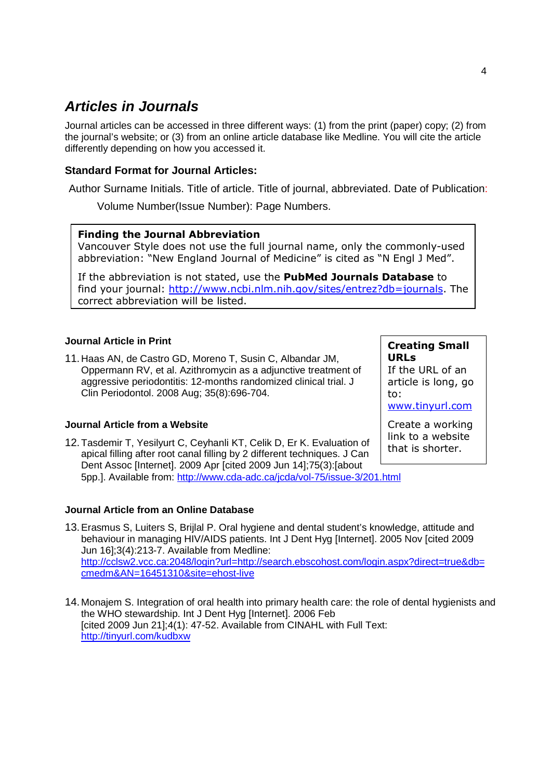# **Articles in Journals**

Journal articles can be accessed in three different ways: (1) from the print (paper) copy; (2) from the journal's website; or (3) from an online article database like Medline. You will cite the article differently depending on how you accessed it.

### **Standard Format for Journal Articles:**

Author Surname Initials. Title of article. Title of journal, abbreviated. Date of Publication:

Volume Number(Issue Number): Page Numbers.

### **Finding the Journal Abbreviation**

Vancouver Style does not use the full journal name, only the commonly-used abbreviation: "New England Journal of Medicine" is cited as "N Engl J Med".

If the abbreviation is not stated, use the **PubMed Journals Database** to find your journal: http://www.ncbi.nlm.nih.gov/sites/entrez?db=journals. The correct abbreviation will be listed.

### **Journal Article in Print**

11. Haas AN, de Castro GD, Moreno T, Susin C, Albandar JM, Oppermann RV, et al. Azithromycin as a adjunctive treatment of aggressive periodontitis: 12-months randomized clinical trial. J Clin Periodontol. 2008 Aug; 35(8):696-704.

### **Journal Article from a Website**

12. Tasdemir T, Yesilyurt C, Ceyhanli KT, Celik D, Er K. Evaluation of apical filling after root canal filling by 2 different techniques. J Can Dent Assoc [Internet]. 2009 Apr [cited 2009 Jun 14];75(3):[about 5pp.]. Available from: http://www.cda-adc.ca/jcda/vol-75/issue-3/201.html

### **Journal Article from an Online Database**

- 13. Erasmus S, Luiters S, Brijlal P. Oral hygiene and dental student's knowledge, attitude and behaviour in managing HIV/AIDS patients. Int J Dent Hyg [Internet]. 2005 Nov [cited 2009 Jun 16];3(4):213-7. Available from Medline: http://cclsw2.vcc.ca:2048/login?url=http://search.ebscohost.com/login.aspx?direct=true&db= cmedm&AN=16451310&site=ehost-live
- 14. Monajem S. Integration of oral health into primary health care: the role of dental hygienists and the WHO stewardship. Int J Dent Hyg [Internet]. 2006 Feb [cited 2009 Jun 21];4(1): 47-52. Available from CINAHL with Full Text: http://tinyurl.com/kudbxw

# **Creating Small URLs**

If the URL of an article is long, go to:

www.tinyurl.com

Create a working link to a website that is shorter.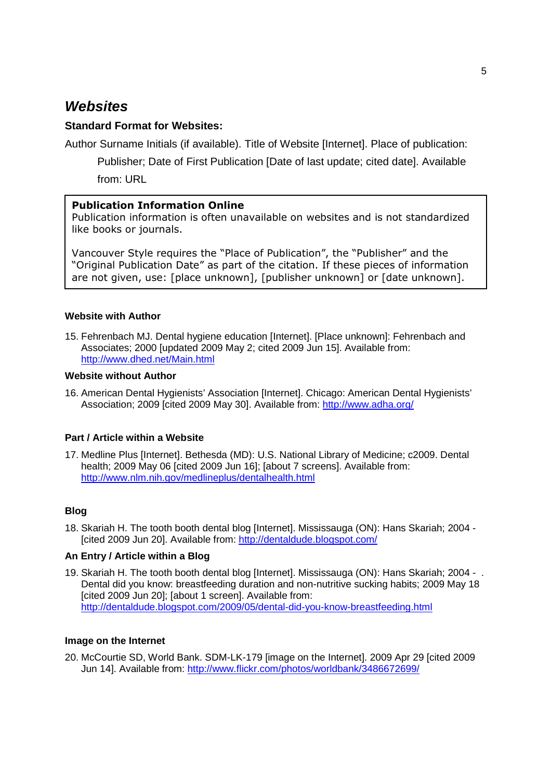# **Websites**

### **Standard Format for Websites:**

Author Surname Initials (if available). Title of Website [Internet]. Place of publication:

Publisher; Date of First Publication [Date of last update; cited date]. Available from: URL

### **Publication Information Online**

Publication information is often unavailable on websites and is not standardized like books or journals.

Vancouver Style requires the "Place of Publication", the "Publisher" and the "Original Publication Date" as part of the citation. If these pieces of information are not given, use: [place unknown], [publisher unknown] or [date unknown].

### **Website with Author**

15. Fehrenbach MJ. Dental hygiene education [Internet]. [Place unknown]: Fehrenbach and Associates; 2000 [updated 2009 May 2; cited 2009 Jun 15]. Available from: http://www.dhed.net/Main.html

#### **Website without Author**

16. American Dental Hygienists' Association [Internet]. Chicago: American Dental Hygienists' Association; 2009 [cited 2009 May 30]. Available from: http://www.adha.org/

### **Part / Article within a Website**

17. Medline Plus [Internet]. Bethesda (MD): U.S. National Library of Medicine; c2009. Dental health; 2009 May 06 [cited 2009 Jun 16]; [about 7 screens]. Available from: http://www.nlm.nih.gov/medlineplus/dentalhealth.html

### **Blog**

18. Skariah H. The tooth booth dental blog [Internet]. Mississauga (ON): Hans Skariah; 2004 - [cited 2009 Jun 20]. Available from: http://dentaldude.blogspot.com/

#### **An Entry / Article within a Blog**

19. Skariah H. The tooth booth dental blog [Internet]. Mississauga (ON): Hans Skariah; 2004 - . Dental did you know: breastfeeding duration and non-nutritive sucking habits; 2009 May 18 [cited 2009 Jun 20]; [about 1 screen]. Available from: http://dentaldude.blogspot.com/2009/05/dental-did-you-know-breastfeeding.html

#### **Image on the Internet**

20. McCourtie SD, World Bank. SDM-LK-179 [image on the Internet]. 2009 Apr 29 [cited 2009 Jun 14]. Available from: http://www.flickr.com/photos/worldbank/3486672699/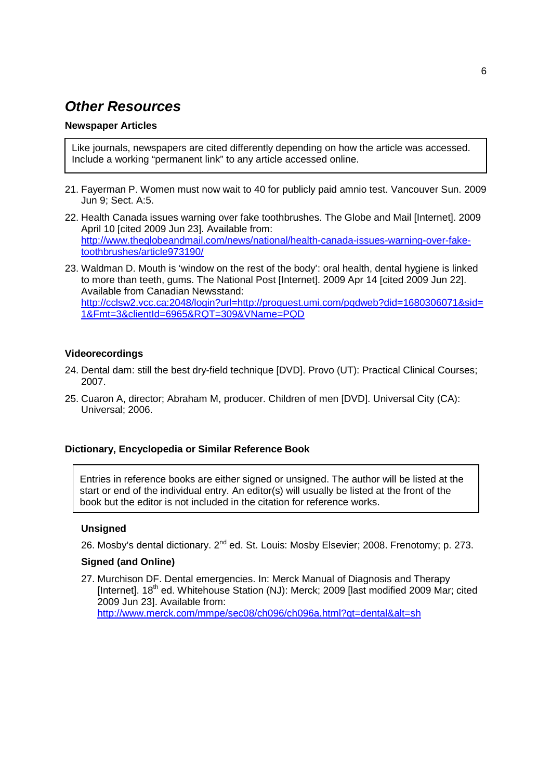# **Other Resources**

### **Newspaper Articles**

Like journals, newspapers are cited differently depending on how the article was accessed. Include a working "permanent link" to any article accessed online.

- 21. Fayerman P. Women must now wait to 40 for publicly paid amnio test. Vancouver Sun. 2009 Jun 9; Sect. A:5.
- 22. Health Canada issues warning over fake toothbrushes. The Globe and Mail [Internet]. 2009 April 10 [cited 2009 Jun 23]. Available from: http://www.theglobeandmail.com/news/national/health-canada-issues-warning-over-faketoothbrushes/article973190/
- 23. Waldman D. Mouth is 'window on the rest of the body': oral health, dental hygiene is linked to more than teeth, gums. The National Post [Internet]. 2009 Apr 14 [cited 2009 Jun 22]. Available from Canadian Newsstand: http://cclsw2.vcc.ca:2048/login?url=http://proquest.umi.com/pqdweb?did=1680306071&sid= 1&Fmt=3&clientId=6965&RQT=309&VName=PQD

### **Videorecordings**

- 24. Dental dam: still the best dry-field technique [DVD]. Provo (UT): Practical Clinical Courses; 2007.
- 25. Cuaron A, director; Abraham M, producer. Children of men [DVD]. Universal City (CA): Universal; 2006.

### **Dictionary, Encyclopedia or Similar Reference Book**

Entries in reference books are either signed or unsigned. The author will be listed at the start or end of the individual entry. An editor(s) will usually be listed at the front of the book but the editor is not included in the citation for reference works.

#### **Unsigned**

26. Mosby's dental dictionary. 2<sup>nd</sup> ed. St. Louis: Mosby Elsevier; 2008. Frenotomy: p. 273.

### **Signed (and Online)**

27. Murchison DF. Dental emergencies. In: Merck Manual of Diagnosis and Therapy [Internet]. 18<sup>th</sup> ed. Whitehouse Station (NJ): Merck; 2009 [last modified 2009 Mar; cited 2009 Jun 23]. Available from: http://www.merck.com/mmpe/sec08/ch096/ch096a.html?qt=dental&alt=sh